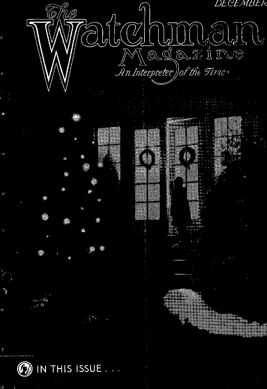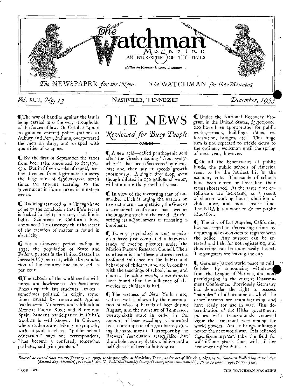

(The war of bandits against the law is being carried into the very strongholds of the forces of law. On October 14 and 20 gunmen entered police stations at Auburnand Peru, Indiana, overpowered the men on duty, and escaped with quantities of weapons.

C. By the first of September the taxes from beer sales amounted to  $\frac{2}{71}$ , 177, 539. But in fifteen weeks of repeal, beer had diverted from legitimate industry the large sum of  $\frac{6}{496,000,000}$ , seven times the amount accruing to the government in liquor taxes in nineteen weeks.

**IQ** Radiologists meeting in Chicago have come to the conclusion that life's secret is locked in light; in short, that life is light. Scientists in California have announced the discovery that the secret of the creation of matter is found in ectricity.

**Q** For a nine-year period ending in 1932, the population of State and Federal prisons in the United States has increased 87 per cent, while the population of the country had increased 12 per cent.

(The schools of the world seethe with unrest and lawlessness. An Associated Press dispatch lists students' strikes sometimes political in origin, sometimes caused by resentment against teachers—in Monterey and Chihuahua Mexico; Puerto Rico; and Barcelona Spain. Student participation in Cuba's troubles is well known. In Chicago, where students are striking in sympathy with unpaid teachers, "public school education;' says one correspondent, "has beconie a confused, somewhat pathetic, and grim problem."



A new acid—called panthogenic acid after the Greek meaning "from everywhere"—has been discovered by chemists; and they say it speeds growth enormously. A single tiny drop, even though diluted in 15o gallons of water, will stimulate the growth of yeast.

C. In view of the increasing fear of one another which is urging the nations on to greater arms competition, the Geneva disarmament conference has become the laughing stock of the world. At this writing its adjournment or recessing is imminent.

Twenty psychologists and sociologists have just completed a four-year study of motion pictures under the Motion Picture Research Council. Their conclusion is that these pictures exert a profound influence on the habits and behavior of children, and are in conflict with the teachings of school, home, and church. In other words, these experts have found that the influence of the movies on children is bad.

**I** The wetness of New York state, wettest wet, is shown by the consumption of 664,314 barrels of beer during August; and the moisture of Tennessee, twenty-sixth state in order in the amount of beer guzzling, is indicated by a consumption of 2,520 barrels during the same month. This report by the Brewers' Association states also that the whole country drank a billion and a half glasses of beer in hot August.

C Under the National Recovery Program in the United States, \$3,3oo,000,- 000 have been appropriated for public works,—roads, buildings, dams, reforestation, bridges, etc. sum is not expected to trickle down to the ordinary workman until the spring of next year, however.

C. Of all the beneficiaries of public funds, the public schools of America seem to be the hardest hit in the economy cuts. Thousands of schools have been closed or have had their terms shortened. At the same time enrollments are increasing as a result of shorter working hours, abolition of child labor, and more leisure time. The NRA has a work to do for public education.

The city of Los Angeles, California, has succeeded in decreasing crime by requiring all ex-convicts to register with the police. Any suspect can be arrested and held for not registering, and thus crime can be more easily traced. The gangsters are leaving the city.

Germany jarred world peace in mid-October by announcing withdraw from the League of Nations, and nonparticipation in the current Disarmament Conference. Previously Germany had demanded the right to possess "samples" of all armaments which the other nations are manufacturing and have ready for use in war. This determination of the Hitler government pushes with tremendously renewed vigor the armament race among the world powers. And it brings infinitely nearer the next world war. It is believed that Germany ean take the field for war in one year's time, with all her armament up<sup>-</sup>to date.

*Entered as second-class matter, 7anuary 19. 1909, at the post office at Nashville, Tenn., under act of March 3, 1879, by the Southern Publishing dssociatio*  (Seventh-day Adventist), 2119 24th Ave. N. Published monthly (except October, when semi-monthly). Price 10 cents a copy, \$1.00 a year.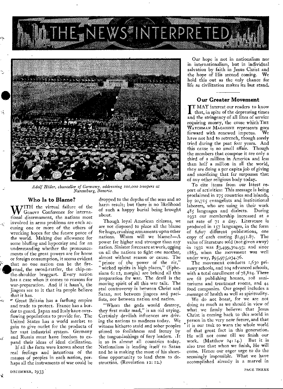



*Adolf Hitler, chancellor of Germany, addressing 100,000 troopers at Nuremburg, Bavaria.* 

#### Who Is to Blame?

WITH the virtual failure of the<br>tional disarmament, the nations most ITH the virtual failure of the Geneva Conference for internainvolved in arms problems are each accusing one or more of the others of wrecking hopes for the future peace of the world. Making due allowance for some bluffing and hypocrisy and for an understanding whether the pronouncements of the great powers are for home or foreign consumption, it seems evident that no one nation can be the fireorand, the sword-rattler, the chip-onthe-shoulder braggart. Every nation has a case when it comes to reasons for war-preparation. And if it hasn't, the jingoes see to it that its people believe that it has.

Great Britain has a farflung empire and trade to protect. France has a border to guard. Japan and Italy have overflowing populations to provide for. The United States has a world market to gain to give outlet for the products of her vast industrial system. Germany and Russia must have freedom to expand their ideas of ideal civilization.

If all the facts were known about the real feelings and intentions of the masses of peoples in each nation, perhaps all the instruments of war could be

dropped to the depths of the seas and no harm result; but there is no likelihood of such a happy burial being brought about.

Though loyal American citizens, we are not disposed to place all the blame for huge, crushing armaments upon other nations. Whom will we blame?-A power far higher and stronger than any nation. Sinister forces are at work, egging on all the nations to fight one another, almost without reason or cause. The "prince of the power of the air," "wicked spirits in high places," (Ephesians 6: 12, margin) are behind all this preparation for war. The devil is the moving spirit of all this war talk. The real controversy is between Christ and Satan, not between jingoes and pacifists, nor between nation and nation.

"Whom the gods would destroy, they first make mad," is an old saying. Certainly devilish influences are driving the nations to madness today. We witness hitherto staid and sober peoples stirred to foolishness and frenzy by the tongue-lashings of fiery leaders. .It is so in almost all countries today. Nationalism is lending itself to Satan and he is making the most of his shorttime opportunity to lead them to destruction. (Revelation 12: tz.)

Our hope is not in nationalism nor in internationalism, but in individual salvation by faith in Jesus Christ and the hope of His second coming. We hold this out as the only chance for life as civilization makes its last stand.

#### Our Greater Movement

TT MAY interest our readers to know that, in spite of the depressing times and the stringency of all lines of service requiring money, the cause which THE WATCHMAN MAGAZINE represents goes forward with renewed impetus. We have not had to retrench, though sorely tried during the past four years. And this cause is no small affair. Though the members that compose it are only a third of a million in America and less than half a million in all the world, they are doing a per capita job of giving and sacrificing that far surpasses that of any other religious body today.

To cite items from our latest report of activities: This message is being proclaimed in 275 countries and islands, by 20,715 evangelists and institutional laborers, who are using in their work 485 languages and dialects. During 1932 our membership increased at a net rate of 71 a day. Literature is produced in 157 languages, in the form of 6,607 different publications, one copy of each costing \$1,951.87. The value of literature sold (not given away) in 1932 was §13,499,304.93; and since 1863, when the movement was well under way, \$95,975,034.76.

The movement conducts 1,630 primary schools, and 204 advanced schools, with a total enrollment of 78,824. There are 68 publishing houses, 168 sanitariums and treatment rooms, and 44 food companies. Our gospel includes a .message of health as well as spirituality.

We do not boast, for we are not doing as much as we should in view of what we firmly believe: that Jesus Christ is coming back to this world in person in the very near future, and that it is our task to warn the whole world of that great fact in this generation. He will not come till we finish our work. (Matthew 24: 14.) But it is also true that when we finish, He will come. Hence our eager urge to do the seemingly impossible. What we have accomplished already is a marvel in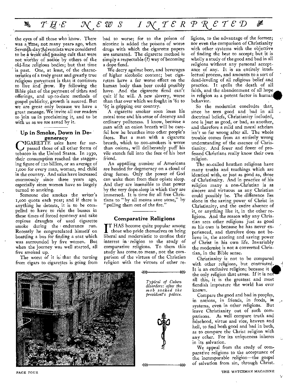#### **A**  $T H E$   $\mathcal{X}$  *E*  $\mathcal{W}$  *S*  $I \mathcal{X}$  *T*  $E R P R E T E D$ ∦

the eyes of all those who know. There was a Time; not many years ago, when Seventh-day Adventists were considered to be a weak and passing cult that were not worthy of notice 'by others of the old-line religious bodies; but that time is past. One, at least, of the characteristics of a truly great and greatly true religious movement is that it continues to live and grow. By following the Bible plan of the payment of tithes and offerings, and up-to-date methods of gospel publicity, growth is assured. But we are great only because we have a great message. We invite all our readers to join us in proclaiming it, and to be with us as we are saved by it.

#### Up in Smoke, Down in Degeneracy

CIGARETTE sales have far sur-<br>passed those of all other forms of passed those of all other forms of tobacco in the United States. In 193o, their consumption reached the staggering figure of 120 billion, or an average of I,000 for every man, woman, and child in the country. And sales have increased enormously since three years ago, especially since women have so largely turned to smoking.

Someone else smokes the writer's ',coo quota each year; and if there is anything he detests, it is to be compelled to have to ride the busses in these times of forced economy and take copious draughts of used cigarette smoke during the endurance run. Recently he congratulated himself on boarding a bus for finding a seat which was surrounded by five women. But when the journey was well started, all five smoked up.

The worst of it is that the turning from cigars to cigarettes is going from

bad to worse; for to the poison of nicotine is added the poisons of worse drugs with which the cigarette papers are saturated. The cigarette method is simply a respectable (?) way of becoming a dope fiend.

We decry against beer, and beverages of higher alcoholic content; but cigarettes have a far worse effect on the human body than beer could possibly have. And the cigarette fiend can't quit if he will. A new slavery, worse than that over which we fought in '6r to '65 is gripping our country.

A cigarette smoker soon loses his moral tone and his sense of decency and ordinary politeness. I know, because a man with an onion breath will be careful how he breathes into other people's faces. But a man with a cigarette breath, which to non-smokers is worse than onions, will deliberately puff his vile stench full into the face of his best friend.

An appalling number of Americans are headed for degeneracy on a cloud of drug fumes. Only the power of God can wake them from their opiate sleep. And they are insensible to that power by the very dope-sleep in which they are immersed. It is time for all free Christians to "by all means save some," by "pulling them out of the fire."

#### Comparative Religions

IT HAS become quite popular among<br>those who pride themselves on being<br>liberal and modernistic to confine their T HAS become quite popular among those who pride themselves on being interest in religion to the study of comparative religions. To them this study has come.to mean, not the comparison of the virtues of the Christian religion with the virtues of other re-



*Typical of Cuban disorders: after the mob sacked the president's palace.* 

433 KE



ligions, to the advantage of the former; nor even the comparison of Christianity with other systems with the objective of finding the best to accept; but it is wholly a study of the good and bad in all religions without any personal acceptance of any. It is an entirely intellectual process, and amounts to a sort of dead-leveling of all religious belief and practice. It spells the death of all faith, and the abandonment of all hope in religion as a potent factor in human. behavior.

So the modernist concludes that, since he sees good and bad in all doctrinal beliefs, Christianity included, one is just as good, or bad, as another, and therefore a mild and moral atheism isn't so far wrong after all. The whole trouble comes from an entirely wrong understanding of the essence of Christianity. And fewer and fewer of professed Christians really know their own religion.

The so-called heathen religions have many truths and teachings which are identical with, or just as good as, those of Christianity. And in practice of his religion many a non-Christian is as sincere and virtuous as any Christian could possibly be. The difference lies alone in the saving power of Christ in Christianity, and the entire absence of it, or anything like it, in the other religions. And the reason why any Christian sees other religions just as good as his own is because he has never experienced, and therefore does not believe in, the atoning and saving power of Christ in his own life. Invariably the modernist is not a converted Christian, in the Bible sense.

Christianity is not to be compared with other religions, but contrasted. It is an exclusive religion; because it i the only religion that saves. If it is no all this, it is the greatest and most fiendish imposture the world has ever known.

Compare the good and bad in peoples, in nations, in friends, in foods, in systems, even in other religions. But leave Christianity out of such comparisons. As well compare truth and falsehood, virtue and vice, heaven and hell, to find both good and bad in both, as to compare the Christ religion with any other. For its uniqueness inheres in its salvation.

We appeal from the study of comparative religions to the acceptance of the, incomparable religion—the gospel of salvation from sin, through Christ.

'I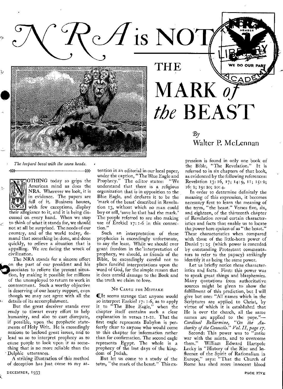THE

MARK *o* 

*tbe* BEAST

 $-44-$ 

# $\mathcal{B} \nu$ Walter P. McLennan

*The leopard beast with the seven heads.* 



→≫

OTHING today so grips the American mind as does the NRA. Wherever we look, it is in evidence. The papers are full of it. Business houses, with few exceptions, display their allegiance to it, and it is being discussed on every hand. When we stop to think of what it stands for, we should not at all be surprised. The needs of our country, and of the world today, demand that something be done, and done quickly, to relieve a situation that is appalling. We are facing the wreck of civilization.

on the part of our president and his<br>sociates to relieve the present situa-<br>tion, by making it possible for millions The NRA stands for a sincere effort on the part of our president and his ssociates to relieve the present situaof the unemployed to return to work in contentment. Such a worthy objective is deserving of our hearty support, even though we may not agree with all the details of its accomplishment.

But the great deceiver stands ever ready to thwart every effort to help humanity, and also to cast disrepute, if possible, upon the prophetic statements of Holy Writ. He is exceedingly anxious to becloud great issues, and to lead us so to interpret prophecy as to cause people to look upon it as something that is no more reliable than the Delphic utterances.

A striking illustration of this method of deception has just come to my at-

understand that there is a religious organization that is in opposition to the Blue Eagle, and declares it to be the `mark of the beast' described in Revelation 13, without which no man could buy or sell, 'save he that had the mark.' The people referred to are also making use of Ezekiel 17: 1-6 in this connection." Such an interpretation of these prophecies is exceedingly unfortunate, to say the least. While we should ever grant freedom in the interpretation of

prophecy, we should, as friends of the Bible, be exceedingly careful not to place fanciful interpretations upon the word of God, for the simple reason that it does untold damage to the Book and the truth we claim to love.

tention in an editorial in our local paper, under the caption, "The'Blue Eagle and Prophecy." The editor states: "We

 $^{\circ}\mathscr{A}$  is NOT

#### NO CAUSE FOR MISTAKE

It seems strange that anyone would so interpret Ezekiel 17: 1-6, as to apply it to "The Blue Eagle," when the chapter itself contains such a clear explanation in verses II-21. That the first eagle represents Babylon is perfectly clear to anyone who would come to this chapter for information rather than for confirmation. The second eagle represents Egypt. The whole is a prophecy of the last days of the kingdom of Judah.

But let us come to a study of the term, "the mark of the beast." This expression is found in only one book of the Bible, "The Revelation." It is referred to in six chapters of that book, as evidenced by the following references: Revelation 13: 16, 17; 14: 9, II; IS: 2; 16: 2; 19: 20; 20: 4.

In order to determine definitely the meaning of this expression, it becomes necessary first to learn the meaning of the term, "the beast." Verses five, six, and eighteen, of the thirteenth chapter of Revelation reveal certain characteristics and facts that enable us to locate the power here spoken of as "the beast.' These characteristics when compared with those of the little-horn power of Daniel 7: 25 (which power is conceded by outstanding Protestant commentators to refer to the papacy) strikingly identify it as being the same power.

Let us briefly notice these characteristics and facts. First: this power was to speak great things and blasphemies. Many quotations from authoritative sources might be given to show the fulfillment of this prediction, but I will give but one: "All names which in the Scriptures are applied to Christ, by virtue of which it is established that He is over the church, all the same names are applied to the pope."— *Cardinal Bellarmine, "On the Authority of the Councils." Vol. II, page 17.* 

Second: This power was to "make war with the saints, and to overcome them." William Edward Hartpole Lecky in "History of the Rise and Influence of the Spirit of Rationalism in Europe," says: "That the Church of Rome has shed more innocent blood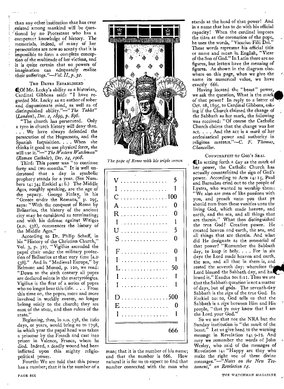than any other institution that has ever existed among mankind will be ques- ' tioned by no Protestant who has a competent knowledge of history. The, memorials, indeed, of many of her persecutions are now so scanty that it is impossible to form a complete conception of the multitude of her victims, and it is quite certain that no powers of imagination can adequately realize their sufferings."—Vol. *II, p.32.* 

#### THE DATES ESTABLISHED

46,0f Mr. Lecky's ability as a historian, Cardinal Gibbons said: "I have regarded Mr. Lecky as an author of sober and dispassionate mind, as well as of distinguished ability."—" *The Tablet" (London), Dec. 2, 1899,* p. *896.* 

"The church has persecuted. Only a tyro in church history will deny that. . . . We have always defended the persecution of the Huguenots, and the Spanish Inquisition. . . . When she thinks it good to use physical force, she will use it."—" *The Western Watchman" (Roman Catholic), Dec. 24, 1908.* 

Third: This power was "to continue forty and two months." It is well understood that a day in symbolic prophecy stands for a year. (See Numbers 14: 34; Ezekiel 4: 6.) The Middle Ages, roughly speaking, are the age of the papacy. George Finlay, in his "Greece under the Romans," p. 295, says: "With the conquest of Rome by Belisarius, the history of the ancient city may be considered as terminating; and with his defense against Witiges (A.D. 538), commences the history of the Middle Ages."

According to Dr. Philip Schaff, in his "History of the Christian Church," Vol. 3, p. 327, "Vigilius ascended the papal chair under the military protection of Belisarius at that very time [A.D 538]." And in "Medieval Europe," by Belmont and Monod, p. 12o, we read: "Down to the sixth century all popes are declared saints in the martyrologies. Vigilius is the first of a series of popes who no longer bear this title. . . . From this time on, the popes, more and more involved in worldly events, no longer belong solely to the church; they are men of the state, and then rulers of the state.'

Beginning, then, in A.D. 538, the 1260 days, or years, would bring us to 1798, in which year the papal' head was taken a prisoner by the French and cast into prison in Valence, France, where he died. Indeed, a deadly wound had been inflicted upon this mighty religiopolitical power.

Fourth: We are told that this power has a number; that it is the number of a



*The pope of Rome with his triple crown* 

| 5<br>V<br>$\ddotsc$<br>$\bar{\psi}$ .                                                                                       |  |
|-----------------------------------------------------------------------------------------------------------------------------|--|
| 1<br>I<br>$\ldots$                                                                                                          |  |
| 100<br>C<br>.                                                                                                               |  |
| 0<br>A<br>$\ddot{\phantom{a}}$<br>$\ddot{\phantom{a}}$<br>÷.<br>$\overline{1}$<br>$\ddot{\phantom{a}}$                      |  |
| 0<br>R<br>$\sim$ 10 $\sim$<br>$\sim$ $\sim$<br>$\ddot{\phantom{1}}$<br>$\ddot{\phantom{a}}$<br>L.                           |  |
| 1<br>I<br>$\overline{a}$<br>$\overline{\phantom{a}}$<br>$\ddot{\phantom{0}}$                                                |  |
| 5<br>U                                                                                                                      |  |
| 0<br>S<br>$\ddot{\phantom{1}}$                                                                                              |  |
| $\overline{F}$<br>0<br>$\overline{a}$                                                                                       |  |
| $\sim 100$<br>$\mathcal{L}^{\mathcal{L}}$<br>$\ddot{\phantom{a}}$<br>$\bar{a}$<br>$\ddot{\phantom{1}}$<br>1<br>$\mathbf{I}$ |  |
| .                                                                                                                           |  |
| 50<br>L<br>$\ddot{\phantom{a}}$<br>$\sim$ .<br>$\ddot{\phantom{a}}$                                                         |  |
| 1<br>Ĩ                                                                                                                      |  |
| l<br>I<br>$\mathbf{r}$<br>÷.<br>$\overline{a}$                                                                              |  |
| . 500<br>D<br>$\ddot{\phantom{0}}$<br>$\ddot{\phantom{1}}$<br>$\ddot{\phantom{a}}$                                          |  |
| E<br>0<br>$\overline{a}$<br>.                                                                                               |  |
| Ĩ<br>1                                                                                                                      |  |
|                                                                                                                             |  |
| 666                                                                                                                         |  |
| ŕ                                                                                                                           |  |

man; that it is the number of his name and that the number is 666. How natural it is for us to expect to find tha number connected with the man who

stands at the head of that power! And in a name that has to do with his official capacity! When the cardinal imposes the tiara at the coronation of the pope, he uses the words, "Vicarius Filii Dei." These words represent his official title or name and mean in English, "Vicar of the Son of God." In Latin there are no figures, but letters have the meaning of figures. As shown in the diagram elsewhere on this page, when we give the name its numerical value, we have exactly 666.

Having located the "beast" power, we ask the question, What is the mark of that power? In reply to a letter of Oct. 28, 1895, to Cardinal Gibbons, asking if the Church claimed the change of the Sabbath as her mark, the following was received: "Of course the Catholic Church claims that the change was her act. . . And the act is a *mark* of her ecclesiastical power and authority in religious matters."—C. *F. Thomas, Chancellor.* 

#### COUNTERFEIT OF GOD'S SEAL

Qin setting forth a day as the mark of her power, the Catholic Church has actually counterfeited the sign of God's power. According to Acts 14: 15, Paul and Barnabas cried out to the people of Lystra, who wanted to worship them: "We also are men of like passions with you, and preach unto you that ye should turn from these vanities unto the living God, which made heaven, and earth, and the sea, and all things that are therein." What then distinguished the true God? Creative power. He created heaven and earth, the sea, and all things that are therein. And what did He designate as the memorial of that power? "Remember the Sabbath day, to keep it holy. . . . For in six days the Lord made heaven and earth, the sea, and all that in them is, and rested the seventh day: wherefore th Lord blessed the Sabbath day, and ha lowed it." Exodus 20: 8-11. Thus we see that the Sabbath question is not a matter of days, but of gods. The seventh-day Sabbath is the *sign* of the true God. In Ezekiel 20: 20, God tells us that the Sabbath is a *sign* between Him and His people, "that ye may know that I am the Lord your God."

So we see that not the NRA but the Sunday institution is "the mark of the beast." Let us give heed to the warning message in Revelation 14: 9-12. And may we remember the words of John Wesley, who said of the messages of Revelation 14: "Happy are they who make the right use of these divine messages."—"Notes *on the New Testament," on Revelation 14.*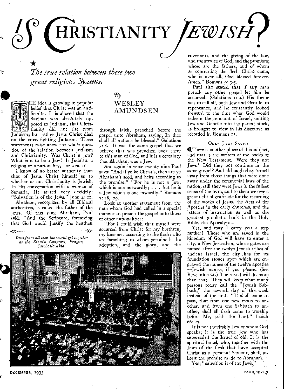HRISTIANITY JEWISH?

*The true relation between these two great religious Systems.* 



>>>

HE idea is growing in popular belief that Christ was an anti-Semite. It is alleged that the Saviour was absolutely opposed to Judaism, that Chris tianity did not rise from Judaism; but rather Jesus Christ died on the cross fighting Judaism. These statements raise anew the whole question of the relation between Judaism and Christianity. Was Christ a Jew? What is it to be a Jew? Is Judaism a religion or a nationality,—or a race?

I know of no better authority than that of Jesus Christ himself as to whether or not Christianity is Jewish. In His conversation with a woman of Samaria, He stated very decidely: "Salvation is of the Jews." John 4: 22.

Abraham, recognized by all Biblical authorities, is called the father of the Jews. Of this same Abraham, Paul said: "And the Scripture, foreseeing that God would justify the heathen

*Jews from all over the world get together at the Zionist Congress, Prague, Czechoslovakia.* 

## $\mathcal{B} \mathcal{y}$ WESLEY AMUNDSEN

through faith, preached before the gospel unto Abraham, saying, In thee shall all nations be blessed." Galatians 3: 8. It was the same gospel that we believe that was preached back there to this man of God, and it is a certainty that Abraham was a Jew.

And again in verse twenty-nine Paul says: "And if ye be Christ's, then are ye Abraham's seed, and heirs according to the promise." "For he is not a Jew, which is one outwardly;  $\dots$  but he is a Jew which is one inwardly." Romans 2: 28, 29.

Look at another statement from the man whom God had called in a special manner to preach the gospel unto those of other nationalities:

"For I could wish that myself were accursed from Christ for my brethren, my kinsmen according to the flesh: who are Israelites; to whom pertaineth the adoption, and the glory, and the



 $\mu$ 

covenants, and the giving of the law, and the service of God, and the promises; whose are the fathers, and of whom as concerning the flesh Christ came, who is over all, God blessed forever. Amen." Romans 9: 3-5.

Paul also stated that if any man preach any other gospel let him be accursed. (Galatians I: 9.) His theme was to call all, both Jew and Gentile, to repentance, and he constantly looked forward to the time when God would redeem the remnant of Israel, uniting Jew and Gentile into the parent stock, as brought to view in his discourse as recorded in Romans i I.

#### ONLY JEWS SAVED

**I** There is another phase of this subject, and that is the writers of the books of the New Testament. Were they not Jews? Did they not continue in the same gospel? And although they turned away from those things that were done away under the ceremonial laws of the nation, still they were Jews in the fullest sense of the term, and to them we owe a great debt of gratitude for the recording of the works of Jesus, the Acts of the Apostles in the early churches, and the letters of instruction as well as the greatest prophetic book in the Holy Bible, the Apocalypse.

Yes, and may  $\overline{1}$  carry you a step farther? Those who are saved in the kingdom of God will have to enter a city, a-New Jerusalem, whose gates are named after the twelve Jewish tribes of ancient Israel; the city has for its foundation stones upon which are engraved the names of the twelve apostles —Jewish names, if you please. (See Revelation 21.) The saved will do more than that. They will keep what many persons today call the "Jewish Sabbath," the seventh day of the • week instead of the first. "It shall come to pass, that from one new moon to another, and from one Sabbath to another, shall all flesh come to worship before Me, saith the Lord." Isaiah 66: 23.

It is not the fleshly Jew of whom God speaks; it is the true Jew who has superseded the Israel of old. It is the spiritual Israel, who, together with the Jews of the flesh that have accepted Christ as a personal Saviour, shall inherit the promise made to Abraham.

Yes; "salvation is of the Jews."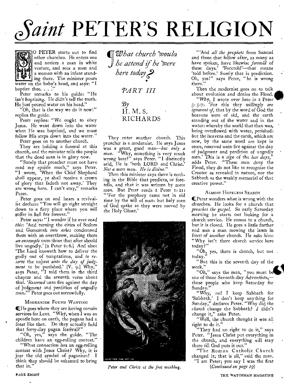# *Faint* **PETER'S RELIGION**



O PETER starts out to find other churches. He enters one and notices a man in white vesture, and sees a man and a woman with an infant stand- $\mathbf{F}$  ing there. The minister pours water on the baby's head, and says: "I baptize thee. . . .

Peter remarks to his guide: "He isn't baptizing. He didn't tell the truth. He just poured water on his head."

"Oh, that is the way we do it now!" replies the guide.

Peter replies: "We ought to obey Jesus. He went down into the water when He was baptized, and we must follow His steps down into the water."

Peter goes on to another church.

They are holding a funeral at this church, and the minister tells the people that the dead man is in glory now.

"Surely that preacher must not have read my epistle much," says Peter. "I wrote, 'When the Chief Shepherd shall appear, ye shall receive a crown of glory that fadeth not away.' They are wrong here. I can't stay," remarks Peter.

Peter goes on and hears a revivalist declare: "You will go right straight down to a fiery place where you will suffer in hell fire forever."

Peter says: "I wonder if he ever read *this:* 'And turning the cities of Sodom and Gomorrah *into ashes* condemned them with an overthrow, making them an *ensample* unto those that after should live ungodly.'  $[2$  Peter 2: 6.] And also: 'The Lord knoweth how to deliver the godly out of temptations, and *to reserve* the unjust *unto the day of judgment* to be punished.' [V. 9.1 Why," says Peter, "I told them in the third chapter and the seventh verse about that. *'Reserved* unto fire against the day of judgment and perdition of ungodly men.'" Peter goes out sorrowfully.

#### MODERNISM FOUND WANTING

 $\mathbf{I}$  He goes where they are having certain services for Lent. "Why, when I was an apostle here on earth, the pagans had a feast like that. Do they actually hold that forty-day pagan festival?"

"Oh, yes," says the guide. "The children have an egg-rolling contest.'

"What connection has an egg-rolling contest with Jesus Christ? Why, it is just the old symbol of paganism! I think they should be ashamed to bring that in."

*IrWhat church 'booula he attend if he were here today ? PART III*   $\mathcal{B} \nu$ H. M. S. RICHARDS

They enter another church. This preacher is a modernist. He says Jesus was a great, good man—but *only a man.* "Why, something is very much wrong here!" says Peter. "I distinctly said, He is 'both LORD and Christ.' *Not a mere man. He is divine."* 

Then this minister says there is nothing in the Bible that predicts, or foretells, and that it was written by mere men. But Peter reads 2 Peter 1: 21: "'For the prophecy came not in old time by the will of man: but holy men of God spake as they were moved by the Holy Ghost.'



*Peter and Christ at the feet washing.* 

"'And *all the prophets* from Samuel and those that follow after, as many as have spoken, have likewise *foretold* of these days.' Foretold'—that means 'told before.' Surely that is prediction. Oh, yes!" says Peter, "he is wrong there.

Then the modernist goes on to talk about evolution and denies the Flood.

"Why, I wrote over here *in* 2 Peter 3: 5-7: 'For this they *willingly are ignorant of,* that by the word of God the heavens were of old, and the earth standing out of the water and in the water: whereby the world that then was, being overflowed with water, perished: but the heavens and the earth, which are now, by the same word are kept in store, reserved unto fire against the day of judgment and perdition of ungodly men.' This is a *sign* of the *last days,"*  adds Peter. "These men deny the Flood, they do not like to recognize the Creator as revealed in nature, nor the Sabbath as the weekly memorial of that creative power."

#### ALMOST HOPELESS SEARCH

CPeter wonders what is wrong with the churches. He looks for a church that *preaches the gospel.* So early Saturday morning he starts out looking for a church service. He comes to a church, but it is closed. He goes a little farther and sees a man mowing the lawn in front of another church. He asks him: "Why isn't there church service here today?"

"Oh, yes, there is church, but not. today.

"But this is the seventh day of the week."

"Oh," says the man, "you must be one of those Seventh-day Adventists, those people who keep Saturday for Sunday."

"Why, no! I keep Sabbath for 'Sabbath.' I don't keep anything for Sunday," declares Peter. "Why did the *church* change the Sabbath? I didn't change it," asks Peter.

"Well, the church thought it was all right to do it."

"They had no right to do it," says Peter. "Jesus Christ put everything in the church, and everything will stay there till God puts it out."

"The Roman Catholic Church changed it; that is all," said the man.

"I am Peter; you say I was the first *(Continued on page 19)* 

PAGE EIGHT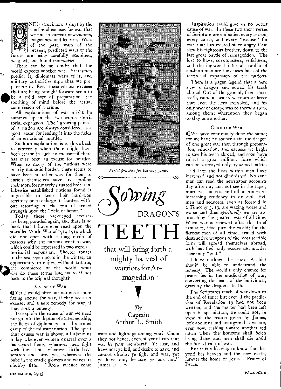

Å,

NE is struck now-a-days by the continual excuses for war that we find in current newspapers, magazines, and lectures. Wars of the past, wars of the present, predicted wars of the future are being carefully examined, weighed, and found *reasonable!* 

There can be no doubt that the world expects another war. Statesmen predict it, diplomats warn of it, and military authorities urge that we prepare for it. Even these various excuses that are being brought forward seem to be a mild sort of preparation-the soothing of mind before the actual commission of a crime.

All explanations of War might be summed up in the two words—territorial expansion. The "growing pains" of a nation are always considered as a good reason for leading it into the fields of international murder.

Such an explanation is a throwback to yesterday when there might have been reason in such an excuse—if there has ever been an excuse for murder. When so many of the nations were merely nomadic hordes, there seems to have been no other way for them to enrich themselves save by spoiling their more fortunately situated brethren. Likewise established nations found it impossible to keep their hard-won territory or to enlarge its borders without resorting to the test of armed strength upon the "field of honor."

Today these hackneyed excuses, are being paraded again, and there is no book that I have ever read upon the so-called World War of 1914-1919 which -did not open with a long chain of reasons why the nations went to war, which could be expressed in two words territorial expansion. Shorter routes to the sea, open ports in the winter, an opportunity to enjoy, without tribute, the commerce of the world—what else do these terms lead us to if not back to the original thought?

#### CAUSE OF WAR

If Yet I would offer our nations a more fitting excuse for war, if they seek an excuse; and a sure remedy for war, if they seek a remedy.

To explain the cause of war we need not go into the depths of statesmenship, the fields of diplomacy, nor the armed camp of the military nation. The spirit that causes war is shown all about us today wherever women quarrel over a back-yard fence, wherever men fight with their fists, wherever little boys scratch and bite, yes, wherever the babe in the cradle glowers and waves its chubby fists. "From whence come



Pistol practice for the war game.



mighty harvest of warriors for Armageddon

# $\partial\mathcal{B}v$ Captain Arthur L. Smith

wars and fightings among you? Come they not hence, even of your lusts that war in your members? Ye lust, and have not: ye kill, and desire to have, and cannot obtain: ye fight and war, yet ye have not, because ye ask not." James 4: I, 2.

Inspiration could give us no better cause of war. In these two short verses of Scripture are embodied every reason, every cause, and every "excuse" for war that has existed since angry Cain slew his righteous brother, down to the last great battle of Armageddon. The lust to have, covetousness, selfishness, and the ingrained internal trouble of sin-born man are the causes back of the territorial expansion of the nations.

There is a pagan legend that a hero s'ew a dragon and sowed his teeth abroad. Out of the ground, from those teeth, came a host of warriors so fierce that even the hero trembled, and his only way of escape was to throw a stone among them; whereupon they began to slay one another.

#### CURE FOR WAR

II We have continually done the same; for we have no sooner slain the dragon of one great war than through preparation, education, and excuses we begin to sow his teeth abroad, and soon have raised a great military force which can be destroyed only by armed battle.

Of late the lusts within men have increased and not diminished. No sane man can read the newspaper accounts day after day and not see in the rapes, murders, suicides, and other crimes an increasing tendency to do evil. Evil men and seducers, even as foretold in 2 Timothy 3: 13, are waxing worse and worse and thus *spiritually* we are approaching the greatest war of all time. When war is renewed after this brief armistice, God pity the world; for the fiercest men of all time, armed with destructive weapons of the most terrible form will spread themselves abroad, with lust their only excuse and murder their only "god."

I have outlined the cause. A child should be able to understand the remedy. The world's only chance for peace lies in the eradication of war, converting the heart of the individual, drawing the dragon's teeth.

The Scriptures teach of war down to the end of time; but even if the prediction of Revelation 19 had not been written, and the matter had been left open to speculation, we could not, in view of the reason given by James, look about us and not agree that we are, even now, rushing toward another red dawn when the' horizons shall belch living flame and men shall die amid the horrid ruin of war.

But it is a blessing to know that beyond lies heaven and the new earth, forever the home of Jesus — Prince of Peace.

DECEMBER, 1933 PAGE NINE

ii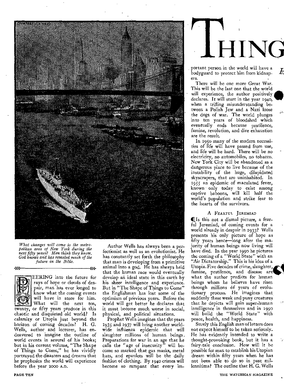

*What changes will come to the metropolitan area of New York during the next fifty years? Men think they know. God knows and has revealed much of the future in the Bible.* 

*>>> <CC* 

EERING into the future for rays of hope or clouds of despair, man has ever longed to know what the coming events will have in store for him. What will the next ten, twenty, or fifty years produce in this chaotic and disquieted old world? Is calamity or Utopia just beyond the horizon of coming decades? H. G.

Wells, author and lecturer, has endeavored to imagine the outline of world events in several of his books; but in his current volume, "The Shape of Things to Come," he has vividly portrayed the disasters and dreams that he prophesies the world will experience before the year 2000 A.D.

Author Wells has always been a perfectionist as well as an evolutionist. He has constantly set forth the philosophy that man is developing from a primitive animal into a god. He has always held that the human race would eventually develop an ideal state in this earth by his sheer intelligence and experience. But in "The Shape of Things to Come" the Englishman has lost some of the optimism of previous years. Before the world will get better he declares that it must become much worse in social, physical, and political situations.

Prophet Wells imagines that the years 1935 and 1937 will bring another worldwide influenza epidemic that will slaughter millions of human beings. Preparations for war in an age that he calls the "age of insecurity" will become so marked that gas masks, metal hats, and epaulets will be the daily fashion of clothing. By 1940 crimes will become so rampant that every im**THING** 

k

portant person in the world will have a bodyguard to protect him from kidnapers.

There will be one more Great War. This will be the last one that the world will experience, the author positively declares. It will start in the year 1940, when a trifling misunderstanding between a Polish Jew and a Nazi loose **the** dogs of war. The world plunges into ten years of bloodshed which eventually ends because pestilence, famine, revolution, and dire exhaustion are the result.

In 1950 many of the modern necessities of life will have passed from use, and life will be hard. There will be no electricity, no automobiles, no tobacco. New York City will be abandoned as a dangerous place to live because of the instability of the huge, dilapidated skyscrapers, that are uninhabited. In 1955 an epidemic of maculated fever, known only today to exist among captive baboons, will kill half the world's population and strike fear to the hearts of the survivors.

#### A FEARFUL JEREMIAD

(Is this not a dismal picture, a fearful Jeremiad, of coming events for a world already in despair in 1933? Wells presents his only picture of hope as fifty years hence—long after the majority of human beings now living will have died. In the year 1990 he pictures the coming of a "World State" with an "Air Dictatorship." This is his idea of a Utopia. Five decades of crime, slaughter, famine, pestilence, and disease are what the author predicts for human beings whom he believes have risen through millions 61 years of evolutionary process. He imagines that suddenly these weak and puny creatures that he depicts will gain super-human intelligence in themselves and in 1990 will build the "World State" with peace, health, and happiness.

Surely this English man of letters does not expect himself to be taken seriously. He has evidently intended to write a thought-provoking book, but it has a fairy-tale conclusion. How will it be possible for man to establish his Utopian dream within fifty years when he has not been able to do so in past millenniums? The outline that H. G. Wells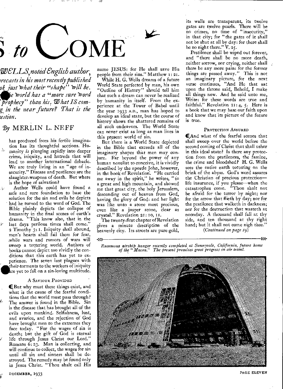

recurs<br>ok\_just<br>proph *WELLS*, *noted English author, ;recasts in his most recently published*  <sup>9</sup>*'zest Ivhat their "shape" trill he. e Tnorld has a "more sure board ' prophecy" than his, W hat IS com* $g$  in the near future? That is the *.'estion.* 

#### *By* MERLIN L. NEFF

has produced from his fertile imagination has its thoughtful sections. Humanity *is* plunging rapidly into deeper crime, iniquity, and hatreds that will lead to another international debacle. We are truly living in an "age of insecurity." Disease and pestilence are the slaughter-weapons of death. But where is the hope of salvation?

Author Wells could have found a safe and sure foundation to base the solution for the sin and evils he depicts had he turned to the word of God. The Bible plainly depicts the collapse of humanity in the final scenes of earth's drama. "This know also, that in the last days perilous times shall come." 2 Timothy 3: 1. Iniquity shall abound, men's hearts shall fail them for fear, while wars and rumors of wars will sweep a tottering world. Authors of books cannot depict too vividly the conditions that this earth has yet to experience. The seven last plagues with Bible plainly depicts the collapse of<br>humanity in the final scenes of earth's<br>drama. "This know also, that in the<br>last days perilous times shall come."<br>2 Timothy 3:1. Iniquity shall abound,<br>men's hearts shall fail them fo re yet to fall on a sin-loving multitude.

#### A SAVIOUR PROVIDED

(But why must these things exist, and what is the cause of the fearful conditions that the world must pass through? The answer is found in the Bible. Sin is the disease that has brought all of the evils upon mankind. Selfishness, lust, and avarice, and the rejection of God have brought men to the extremes they face today. "For the wages of sin is death; but the gift of God is eternal life through Jesus Christ our Lord." Romans 6: 23. Man is collecting, and will continue to collect, the wages for sin until all sin and sinners shall be destroyed. The remedy may be found only in Jesus Christ. "Thou shalt call His name JESUS: for He shall save His people from their sins." Matthew I: 21. While H. G. Wells dreams of a future World State perfected by man, his own "Outline of History" should tell him that such a dream can never be realized by humanity in itself. From the experience at the Tower of Babel until the year 1933 A.D., man has hoped to develop an ideal state, but the course of history shows the shattered remains of all such endeavors. The World State can never exist as long as man lives in this present world of sin.

But there is a World State depicted in the Bible that exceeds all of the imaginary shapes that men may conjure. Far beyond the power of any human novelist to conceive, it is vividly described by the apostle John, however, in the book of Revelation. "He carried me away in the spirit," he writes, "to a great and high mountain, and showed me that great city, the holy Jerusalem, descending out of heaven from God, having the glory of God: and her light was like unto a stone most precious, even like a jasper stone, clear as crystal." Revelation 21: 10, 11.

The twenty-first chapter of Revelation gives a minute description of the heavenly city. Its streets are pure gold,

 $\rightarrow$ 

its walls are transparent, its twelve gates are twelve pearls. There will be no crimes, no time of "insecurity," in that city; for "the gates of it shall not be shut at all by day: for there shall be no night there."  $V. 25$ .

Pestilence shall be wiped out forever, and "there shall be no more death, neither sorrow, nor crying, neither shall there be any more pain: for the former things are passed away." This is not an imaginary picture, for the next verse continues, "And He that sat upon the throne said, Behold, I make all things new. And he said unto me, Write: for these words are true and faithful." Revelation 21: 4, 5. Here is a book that we may base our faith upon and know that its picture of the future is true.

#### PROTECTION ASSURED

(And what of the fearful scenes that shall sweep over the world before the second coming of Christ that shall usher in this ideal state? Is there any protection from the pestilences, the famine, the crime and bloodshed? H. G. Wells sees the entire earth tottering on the brink of the abyss. God's word assures the Christian of precious protection life insurance, if you please—when the catastrophes come. "Thou shalt not be afraid for the terror by night; nor for the arrow that flieth by day; nor for the pestilence that walketh in darkness; nor for the destruction that wasteth at noonday. A thousand shall fall at thy side, and ten thousand at thy right hand; but it shall not come nigh thee." *(Continued on page 19)* 

*Enormous airship hangar recently completed at Sunnyvale, California, future home of the "Macon." The present promises great progress in air travel.* 



PAGE ELEVEN

 $\ll$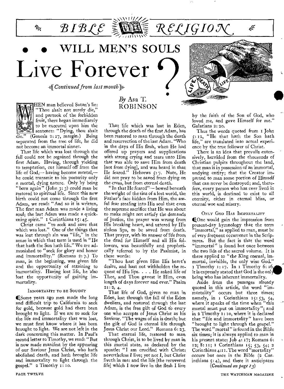# WILL MEN'S SOULS Live Forever

 $BIBC \cong \blacksquare$ 

-4 *Continued from last month).* 



 $\approx$ 

HEN man believed Satan's lie: "Thou shalt not surely die," and partook of the forbidden fruit, there began immediately to be executed upon him the sentence: "Dying, thou shalt  $\sqrt{\ }$  (Genesis 2:17, margin.) Being separated from the tree of life, he did not become an immortal sinner.

That life which was lost through the fall could not be regained through the first Adam. Having, through yielding to temptation, cut himself off from the life of God,— having become mortal, he could transmit to his posterity only a mortal, dying nature. Only by being *"born* again" (John 3:3) could man be restored to spiritual life. Since this new birth could not come through the first Adam, we read: "And so it is written, The first man Adam was made a living soul; the last Adam was made a quickening spirit."  $\bar{x}$  Corinthians  $\bar{x}$ ; 45.

Christ came "to seek and save that which was lost." One of the things that was lost through sin was "life," in the sense in which that term is used in "He that hath the Son hath life." We are admonished to "seek for glory and honor and immortality." (Romans 2: 7.) To man, in the beginning, was given life and the opportunity of attaining to immortality. Having lost life, he also lost the opportunity of gaining immortality.

#### IMMORTALITY TO BE SOUGHT

41,Some years ago men made the long and difficult trip to California to seek for gold, because gold had there been brought to light. If we are to seek for the life and immortality that was lost, we must first know where it has been brought to light. We are not left in the dark concerning this matter. In Paul's second letter to Timothy, we read; "But is now made manifest by the appearing of our Saviour Jesus Christ, who hath abolished death, and hath brought life and immortality to light through the gospel." z Timothy 1: To.

## *By* Asa T. ROBINSON

*•* 

RELIGIOT

That life which was lost in Eden, through the death of the first Adam, has been restored to man through the death and resurrection of the last Adam. "Who in the days of His flesh, when He had offered up prayers and supplications with strong crying and tears unto Him that was able to save Him from death [not from dying], and was heard in that He feared." Hebrews *5:* 7. Note, He did not pray to be saved from dying on the cross, but from eternal death.

"In that He feared"— bowed beneath the weight of the sins of a lost world, the Father's face hidden from Him, the awful fear stealing into His soul that even the supreme sacrifice that He was about to make might not satisfy the demands of justice, the prayer was wrung from His breaking heart, and uttered by His sinless lips, to be saved from death. That prayer, with its answer of life from the dead for Himself and all His followers, was beautifully and prophetically referred to by the Psalmist, in these words:

"Thou hast given Him His heart's desire, and hast not withholden the request of His lips. . . . He asked life of Thee, and Thou gayest it Him, even length of days forever and ever." Psalm 2r:2, 4.

That life of God, given to man in Eden, lost through the fall of the Eden dwellers, and restored through the last Adam, is the free gift of God to every one who accepts of Jesus Christ as his Saviour. "The wages of sin is death; but the gift of God is eternal life through Jesus Christ our Lord." Romans 6: 23.

That eternal life, restored to man through Christ, is to be lived by man in this mortal state, as declared by the apostle: "I am crucified with Christ: nevertheless I live; yet not I, but Christ liveth in me: and the life [the recovered life] which I now live in the flesh I live

by the faith of the Son of God, who loved me, and gave Himself for me." Galatians 2: 20.

مخيم

 $\frac{1}{\sqrt{2}}$ 

**MAN ANTEN RESERVE AND ANTIQUES** 

Thus the words quoted from 1 John 5: I2, "He that hath the Son hath life," are translated into actual experience by the true follower of Christ.

There is an idea that prevails extensively, heralded from the thousands of Christian pulpits throughout the land, that man is in possession of an immortal, undying entity; that the Creator imparted to man some portion of Himself that can never be destroyed; and, therefore, every person who has ever lived in this world, is destined to exist to all eternity, either in eternal bliss, or eternal woe and misery.

#### ONLY GOD HAS IMMORTALITY

COne would gain the impression from present-day hymnology that the term "immortal," as applied to man, must be of very frequent occurrence in the Scriptures. But the fact is that the word "immortal" is found but once between the two lids of the sacred volume. It is there applied to "the King eternal, immortal, invisible, the only wise God." I Timothy  $1:17$ . In I Timothy 6:16, it is expressly stated that God is the onl being who has inherent immortality.

Aside from the passages already quoted in this article, the word "immortality" occurs but three times; namely, in I Corinthians  $15: 53, 54$ , where it speaks of the time when "this mortal must put on immortality"; and in 2 Timothy I : 1o, where it is declared that "life and immortality" have been "brought to light through the gospel." The word "mortal" is found in the Bible six times; it is always applied to man in his present state:  $\text{Job } 4: 17$ ; Romans 6: 12; 8: 11; 1 Corinthians 15; 53; 54; 2 Corinthians  $4:11$ . The word "mortality" occurs but once in the Bible (2 Corinthians 5: 4), and there it anticipates *(Continued on page r3)*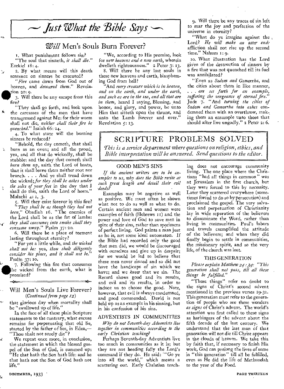

# *Will* Men's Souls Burn Forever?

1. What punishment follows sin? "The soul that sinneth, *it shall die."*  Ezekiel 18:4.

2. By what means will this death sentence on sinners be executed?

 $\mathbf{\hat{x}}$ 

*"Fire* came down from God out of heaven, and *devoured them."* Revelation go: 9.

3. Will there be any escape from this fire?

"They shall go forth, and look upon the carcasses of the men that have transgressed against Me: for their worm shall not die, *neither shall their fire be quenched."* Isaiah 66: 24.

4. To what state will the burning sinners be reduced?

"Behold, the day cometh, that shall burn as an oven; and all the proud,  $\Delta$ yea, and all that do wickedly, shall be stubble: and the day that cometh shall *burn them* up, saith the Lord of hosts, that it shall leave them neither root nor branch. . . And ye shall tread down the wicked; *for they shall be ashes under the soles of your feet* in the day that I shall do this, saith the Lord of hosts." Malachi 4: I, 3.

5. Will they exist forever in this fire? *"They shall be as though they had not been,"* Obadiah 16. "The enemies of the Lord shall be as the fat of lambs: *they shall consume; into smoke shall they consume* away." Psalm 37: 20.

6. Will there be a place of torment lasting throughout eternity?

"For yet a little while, and *the wicked shall not be:* yea, *thou shalt diligently consider his place, and it shall not be."*  Psalm *37:* IO.

7. Following this fire that consumes the wicked from the earth, what is promised?

#### Will Men's Souls Live Forever? *(Continued from page 12)*

that glorious day when mortality shall be "swallowed up of life."

In the face of all these plain Scripture statements to the contrary, what excuse remains for perpetuating that old lie, started by the father of lies, in Eden,— "Thou shalt not surely die"?

We repeat once more, in conclusion, the statement in which the blessed gospel of the Son of God, is summed up: "He that hath the Son hath life: and he that hath not the Son of God hath not life."

"We, according to His promise, look for *new heavens and a new earth,* wherein dwelleth righteousness." 2 Peter 3: 13.

8. Will there be any lost souls in these new heavens and earth, blaspheming God from hell?

"And *every creature which is in heaven, and on the earth, and under the earth, and such as are in the sea, and all that are in them,* heard I saying, Blessing, and honor, and glory, and power, be unto Him that sitteth upon the throne, and unto the Lamb forever and ever." Revelation  $5:13$ .

9. Will there be any traces of sin left to mar the joy and perfection of the universe in eternity?

"What do ye imagine against the Lord? *He will make an utter end:*  affliction shall not rise up the second time." Nahum 1: 9.

10. What illustration has the Lord given of the destruction of sinners by a fire that was not quenched till its fuel was annihilated?

"Even as *Sodom and Gomorrha,* and the cities about them in like manner, . . . *are set forth for an example, suffering the vengeance of eternal* fire." Jude 7. "And *turning the cities of Sodom and Gomorrha into ashes* condemned them with an overthrow, making them an ensample unto those that should after live ungodly." 2 Peter 2: 6.

# SCRIPTURE PROBLEMS SOLVED

*This is a service department where questions on religion, ethics, and Bible interpretation will be answered. Send questions to the editor.* 

#### GOOD MEN'S SINS

*If the ancient writers are to be examples to us, why does the Bible recite at such great length and detail their evil deeds?* 

Examples may be negative as well as positive. We must often be shown what not to do as well as what to do. Certain ancient men and women were examples of faith (Hebrews II) and the power and love of God to save men in spite of their sins, rather than specimens of perfect living. God paints a man just as he is, not some ideal automaton. If the Bible had recorded only the good that men did, we would be discouraged with ourselves and give up in despair; for we would be led to believe that these men never sinned and so did not have the handicaps of sin which we have; and we *know* that we sin. The Record shows good and its results, and evil and its results, in order to induce us to choose the good. Note, however, that evil is always condemned, and good commended. David is not held up as an example in his sinning, but in his confession of his sins.

#### ADVENTISTS IN COMMUNITIES

*Why do not Seventh-day Adventists live together in communities according to the early Christian teaching?* 

Perhaps Seventh-day Adventists live too much in communities as it is; but they are not heeding fully the Lord's command if they do. He said: "Go ye into all the world," which means a *scattering out.* Early *Christian teach-* ing does not encourage community living. The one place where the Christians "had all things in common" was at Jerusalem in the first church, but they were forced to this by necessity. Later they scattered everywhere (sometimes forced to do so by persecution) and proclaimed the gospel. The very salvation and perpetuation of Christianity lay in wide separation of the believers to disseminate the Word, rather than living in communities. Paul's labors and travels exemplified the attitude of the believers; and when they did finally begin to settle in communities, the missionary spirit, and so the very life, *of* the church was lost.

#### THIS GENERATION

*Please explain Matthew 21 : 3¢: "This generation shall not pass, till all these things be fulfilled."* 

"These things" refer no doubt to the signs of Christ's second advent mentioned in the previous verses 29-31. This generation must refer to the generation of people who see these wonders *as signs* of Christ's advent. The world's attention was first called to these signs as harbingers of the advent about the fifth decade of the last century. We understand that the last man of that generation will not die till Christ appears in the clouds of heaven. We take this by faith that, if necessary to finish His work, God can prolong the lives of some in "this generation" till all be fulfilled, even as He did the life of Methuselah to the year *of* the Food.

⊶ón.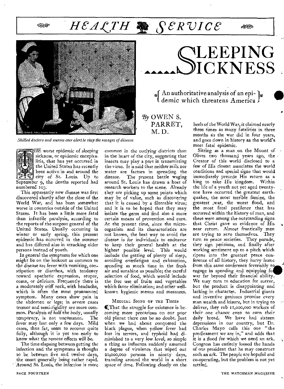# <sup>s</sup>*-Y HCACTH seRvIce*





 $_{\rm \bf \hat{s}}$   $\mathop{\rm An}\nolimits$  authoritative analysis of an epit demic which threatens America

By OWEN S. PARRET, M. D.

*Skilled doctors and nurses ever alert to stay the ravages of disease* 

HE worst epidemic *of sleeping*  sickness, or epidemic encephalitis, that has yet occurred in the United States has recently been active in and around the city of St. Louis. Up to September 9, the deaths reported had numbered 103.

This apparently new disease was first discovered shortly after the close of the World War, and has been somewhat worse in countries outside of the United States. It has been a little more fatal than infantile paralysis, according to the reports of the surgeon general of the United States. Usually occurring in winter or early spring, this present epidemic has occurred in the summer and has differed also in attacking older persons instead of youth.

In general the symptoms for which one might he on the lookout as common to the disease are fever with vomiting, constipation or diarrhea, with tendency toward apathetic expression, stupor, coma, or delirium. Frequently there is a moderately stiff neck, with headache, which is often the most pronounced symptom. Many cases show pain in the abdomen or legs; in severe cases tremor and semi-rigidity are more common. Paralysis of half the body, usually temporary, is not uncommon. The fever may last only a few days. Mild cases, thus far, seem to recover quite fully, although it is yet too early to know what the remote effects will be.

The time elapsing between getting the infection and the symptoms is thought to be between five and twelve days, the onset generally being rather rapid. Around St. Louis, the *infection is more* 

common in the *outlying districts* than in the heart of the city, suggesting that insects may play a part in transmitting the virus. It is said that neither milk nor water are factors in spreading the<br>disease. The present battle waging The present battle waging around St. Louis has drawn a host of research workers to the scene. Already they are picking up some points which may be of value, such as discovering that it is caused by a filterable virus; and it is to be hoped that they may isolate the germ and find also a more certain means of prevention and cure. At the present time, since the microorganism and its characteristics are not known, the best way to avoid the disease is for individuals to endeavor to keep their general health at the highest possible level. This would include the getting of plenty of sleep, avoiding overfatigue and exhaustion, spending as much time in the fresh air and sunshine as possible; the careful selection of food, which would include the free use of fruits and vegetables which favor elimination; and other wellknown hygienic means and measures.

#### MEDICAL SIGNS OF THE TIMES

QThat the struggle for existence is becoming more precarious on our poor old planet there can be no doubt. Just when we had about conquered the black plague, when yellow fever had lost its terrors, and typhoid had diminished to a *very low level,* so simple a thing as influenza suddenly assumed a degree of virulence that wiped out 20,000,000 persons in ninety days, traveling around the world in a short space of time. Following closely on the

heels of the World War, it claimed nearly three times as many fatalities in three months as the war did in four years, and goes down in history as the world's most fatal epidemic.

 $6833$ 

Sitting as a man on the Mount of Olives two thousand years ago, the Creator of this world disclosed to a few of His closest associates the world conditions and special signs that would immediately precede His return as a king to take His kingdom. Within the life of a youth not yet aged twentyone have occurred the greatest earthquakes, the most terrible famine, the greatest ,war, the worst flood, and the most fatal pestilence that has occurred within the history of man, and these were among the outstanding signs that Christ gave as evidence of His near return. Almost frantically men are trying to save themselves. They turn to peace societies. They parade, they sign petitions, and finally after working sentiment up to a pitch which ripens into the greatest peace conference of all history, they hurry home from this same conference feverishly to engage in spending and equipping fo war far beyond their financial ability. We may turn to education for succor, but the product *is disappointing* and lacking in character. Industrial giants and inventive geniuses promise every man wealth and leisure, but in trying to deliver, they rob 11,000,000 workers of *their one* chance even to earn their daily bread. We have had sixteen depressions in our country, but Dr. Charles Mayo calls this one "the predicament we are in," and adds that it is a flood for which we need an ark. Congress has entirely loosed the hands of our president that he may construct such an ark. The people are hopeful and co-operating, but the problem is not yet settled.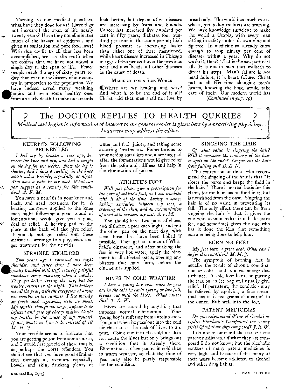Turning to our medical scientists, what have they done for us? Have they not increased the span of life nearly twenty years? Have they not eliminated much of the hazard of epidemics and given us sanitation and pure food laws? With due credit to all that has been accomplished, we say the truth when we confess that we have not added a single day to the span of life. Fewer people reach the age of sixty years today than ever in the history of our country in proportion to the population. We have indeed saved many weakling<br>babies and even some healthy ones **babies** and even some healthy ones from an early death to make our records

look better, but degenerative diseases are increasing by leaps and bounds. Cancer has increased five hundred per cent in fifty years; diabetes four hundred per cent in the same period; high blood pressure is increasing faster than either one of these mentioned, while heart disease increased in Chicago in 1931 fifteen per cent over the previous year and now heads all other diseases as the cause of death.

#### MEDICINE FOR A SICK WORLD

UWhere are we heading and why? And what is to be the end of it all? Christ said that men shall not live by

bread only. The world has much excess wheat, yet today millions are starving. We have knowledge sufficient to make the world a Utopia, with every man sitting in safety under his own vine and fig tree. In medicine we already know enough to stop ninety per cent of diseases within a year. Why do not we do it, then? That is the sad part of it all. It is not in man that walketh to direct his steps. Man's failure is not head failure, it is heart failure. Christ put in all His time changing men's hearts, knowing the head would take care of itself. Our modern world has

*(Continued on page 19)* 

The DOCTOR REPLIES TO HEALTH QUERIES *Medical and hygienic information of interest to the general reader is given here by a practicing Physician. Inquirers may address the editor.* 

#### NEURITIS FOLLOWING BROKEN LEG

A.

*I had my leg broken a year ago, between the knee and hip, and had a weight on the leg for ten weeks. Now the leg is shorter, and I have a swelling in the knee which aches terribly, especially at night. Also have a pain in my back. What can -- you suggest as a remedy for this condition? Z. F. M.* 

You have a neuritis in your knee and back, and need treatment for it. A heating compress applied to the knee each night following a good round of fomentations would give you a good deal of relief. A heating pad to the place in the back will also give relief. If you do not get relief fom these measures, better go to a physician, and get treatment for the neuritis.

#### SPRAINED SHOULDER

*Two years ago I sprained my right*<br> *Ashoulder, and since than I have been*<br> *greatly troubled with stiff, severely painful*<br> *shoulders every morning when I awake. greatly troubled with stiff, severely painful shoulders every morning when I awake. They get better during the day, but the trouble returns in the night. This bothers me all the* year, with the exception of about *two months in the summer. I live mainly on fruits and vegetables, with no meat. My tonsils, though not large, appear to be infected and give off cheesy matter. Could my tonsils be the cause of my trouble? If not, what Can I do to be relieved of it? M. H.7.* 

Your trouble seems to indicate that you are getting poison from some source, and I would first get rid of those tonsils, as, perhaps the worst offenders. You should see that you have good elimination through all avenues, especially bowels and skin, drinking plenty of

water and fruit juices, and taking some sweating treatments. Fomentations to your aching shoulders and a heating pad after the fomentations would give relief from the pain and stiffness and help in the elimination of poison.

#### ATHLETE'S FOOT

*Will you please give a prescription for the cure of athlete's foot, as I am troubled with it all of the time, having a severe itching sensation between my toes, a cracking of the skin, and an accumulation. of dead skin between my toes. A. F. M.* 

You should have two pairs of shoes, and disinfect a pair each night, and put the other pair on the next day, with clean hose that have been boiled if possible. Then get an ounce of Whitfield's ointment, and after soaking the feet in very hot water, apply the ointment to all affected parts, opening any blisters that may form, before the ointment is applied.

#### HIVES IN COLD WEATHER

*I have a young boy who, when he goes out in the cold in early spring or late fall, breaks out with the hives. What causes this?* 7. *R.* W.

Hives are caused by anything that impedes normal elimination. young boy is suffering from autointoxication, and when he goes out into the cold air this causes the rash of hives to appear. Going out into the cold air does not cause the hives but only brings out a condition that is already there. Elimination is often poorer in cold than in warm weather, so that the time of year may also be partly responsible for the condition.

#### SINGEING THE HAIR

*Of what value is singeing the hair. Will it overcome the tendency of the hair to split on the ends? Or prevent the hair from falling out? B. E. N.* 

The contention of those who recommend the singeing of the hair is that "it closes the pores and keeps the fluid in the hair." There is no real basis for this claim, for the hair has no fluid in it, but is nourished from the base. Singeing the hair is of no value in preventing its fall. The only effect there can be from singeing the hair is that it gives the one who recommended it a little extra fee, and sometimes gives the one who has it done the idea that something extra is being done to help him.

#### BURNING FEET

*My feet burn a great dead. What can I do for this condition? M. M.* 7.

The symptom of burning *feet* is usually the result of chronic constipation or colitis and is a vasomotor disturbance. A cold foot bath, or putting the feet on an ice bag will usually give relief. If persistent, the condition may be relieved by applying a face cream that has in it ten grains of menthol to the ounce. Rub well into the feet.

#### PATENT MEDICINES

*Do you recommend Wine of Cardui or Lydia Pinkham's Compound for young girls? Of what are they composed? 7.* R. W.

I do not recommend the use of these patent medicines. Of what they are composed I do not know; but the alcoholic content of many patent medicines is very high, and because of this many of their users become addicted to alcohol and other drug habits.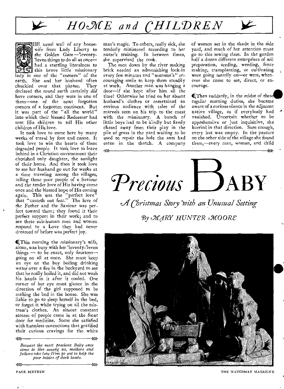



HE usual wail of any housewife from Lady Liberty to the Golden Gate-'leventy-'leven things to do all at once had a startling literalness to this brave little missionary ady in one of the "corners" of the

earth. She and her husband often chuckled over that phrase. They declared the round earth certainly *did*  have corners, and they were in one of them—one of the most forgotten corners of a forgotten continent. But it was part of the "all the world" into which their blessed Redeemer had sent His children to tell His other children of His love.

It took love to come here by many weeks of travel by foot and canoe. It took love to win the hearts of these degraded people. It took love to leave behind in a Christian environment their cherished only daughter, the sunlight of their home. And then it took love to see her husband go out for weeks at a time traveling among the villages, telling these poor people of a Saviour and the tender love *of His having* come once and the blessed hope of His coming again. This was the "perfect love" that "casteth out fear." The love of the Father and the Saviour *was* perfect toward them; they found it their perfect support in their work; and to see these sub-human men and women respond to a Love they had never dreamed of before was perfect joy.

**I**This morning the missionary's wife, alone, was busy with her 'leventy-'leven things — to be exact, only fourteen going on all at once. She must keep an eye on the boy boiling drinking water over a fire in the backyard to see that he really boiled it, and did not wash his hands in it after it cooled. One corner of her eye must glance in the direction of the girl supposed to be making the bed in the house. She was liable to go to sleep herself in the bed, or forget it while trying on all the mistress's clothes. An almost constant stream of people came in at the front door for medicine. Some she satisfied with harmless concoctions that gratified their curious cravings for the white

*Because the most precious Baby once came to live among us, mothers and fathers who love Him go out to help the poor babies of dark lands.* 

 $\mu$ 

->>>

43>

man's magic. To others, really sick, she tenderly ministered according to her *nurse's* training. In between times, she supervised the cook.

The men down by the river making brick needed an admonishing look-in every few minutes and "mamma's" encouraging smile to keep them steadily at work. Another man was hanging a door—if she kept after him all the time! Otherwise he tried on her absent husband's clothes or entertained an envious audience with tales of the marvels seen on his trip to the coast with the missionary. A bunch of little boys had to be kindly but firmly chased away from their play in the pile of grass in the yard waiting to be used to repair the hole the ants had eaten in the thatch. A company

of women sat in the shade in the side yard, and much of her attention must go to this sewing class, In the garden half a dozen different enterprises of soil preparation, seeding, weeding, fence making, transplanting, or cultivating were *going* merrily on—or were, whenever she came to see, direct, or encourage.

QThen suddenly, in the midst of these regular morning duties, she became aware of a curious silence in the adjacent native village, as if everybody had vanished. Uncertain whether to be apprehensive or just inquisitive, she hurried in that direction. Sure enough, every hut was empty. In the pasture on the other side of the village she found them,—every man, woman, and child

 $PrecisionS$  **DABY** *QA Christmas Story Toith an Unusual Setting* 

->>>  $-\rightarrow$   $-\rightarrow$   $-\rightarrow$   $-\rightarrow$ 

**By MARY HUNTER MOORE** 



PAGE- SIXTEEN THE WATCHMAN MAGAZINE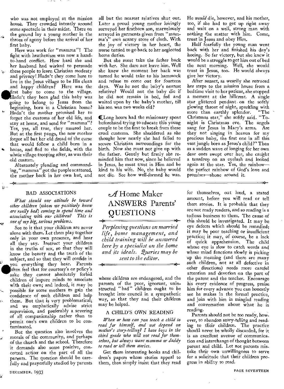who was not employed at the mission house. They crowded intently around some spectacle in their midst. There on the ground lay a young mother in the throes of agony before the arrival of her first baby.

Here was work for "mamma"! The fight with heathenism was now a handto-hand conflict. How hard she and her husband had worked to persuade these people to learn Christian modesty and privacy! Hadn't they come here to live in the Jesus village to be His clean and happy children? Here was the and<br>
live<br>
and<br>
firs<br>
Ha<br>
goi first baby to come to the village. Hadn't they been glad this baby was going to belong to Jesus from the beginning, born in a Christian home? Hadn't the mother promised her to forget the customs of her old life, and stay at home, and send for "mamma"? Yes, yes, all true, they assured her. But at the first pangs, the new mother forgot all but her old dread of the curse that would follow a child born in a house, and fled to the fields, with the whole village trooping after, as was their old custom.

Alternately pleading and commanding, " mamma " got the people scattered, the mother back in her own hut, and

 $\cdot$  can 1)

#### BAD ASSOCIATIONS

*What should our attitude be toward other children (whom we positively know are really bad) coming to spend time and associating with our children? This is one of my big, serious problems.* 

*See* to it that your children are never alone with them. Let them play together only in your own presence, and hear all they say. Instruct your children in the truths of sex, so that they will know the beauty and the truth of the subject, and so that they will confide in often feel that for courtesy's or policy's<br>sake they cannot absolutely forbid yaou everything they hear. Parents ften feel that for courtesy's or policy's children of impure minds to associate with their own; and indeed, it may be possible for some mothers to gain the confidence of such children and help them. But that is very problematical; and we emphatically advise strict supervision, and preferably a severing of all companionship rather than to permit one's own children to be contaminated.

But the question also involves the morals of the community, and perhaps of the church and the school. Therefore it demands also some positive, concerted action on the part of all the parents. The question should be carefully and prayerfully studied by parents

all but the nearest relatives shut out. Later a proud young mother lovingly surveyed her firstborn son, marvelously arrayed in garments given from "mamma's" own scanty store of cloth. With the joy of victory in her heart, the nurse turned to go back to her neglected home duties.

But she must take the father back with her. She dare not leave him. Well she knew the moment her back was turned he would take to his hammock and refuse to come out for fourteen days. Was he not the baby's nearest relative? Would not the baby die if he did not remain in bed, fed and waited upon by the baby's mother, till his son was two weeks old?

(Long hours had the missionary spent beforehand trying to educate this young couple to be the first to break from these cruel customs. She shuddered as she thought how nearly she had failed to secure Christian surroundings for the birth. Now she must not give up with the father. Gently but firmly she reminded him that now, since he believed in Jesus, he must trust in Him and be kind to his wife. No, the baby would not die. See how well-formed he was.

#### He *would* die, however, and his mother, too, if she had to get up right away , and wait on a well, strong man with nothing the matter with him. Come, trust in Jesus and obey Him.

Half fearfully the young man went back with her and finished his day's hoeing. So far victory, but she knew it would be a struggle to get him out of bed the next morning. Well, she would trust in Jesus, too. He would always give her victory.

After sunset, as wearily she retraced her steps to the mission house from a bedtime visit to her patient, she stopped a moment at the hillcrest. A single star glittered pendant on the softly glowing throat of night, sparkling with<br>more than earthly splendor. "The more than earthly splendor. Christmas star," she softly said. "Tonight is Christmas eve. The angels sang for Jesus in Mary's arms. Are they not singing in heaven for my precious baby, the first one in all this vast jungle born as Jesus's child?" Then as a sudden wave of longing for her own dear ones swept over her, she caught a teardrop on an eyelash and looked again at the star. Yes, the rainbow the perfect rainbow of God's love and promises—shone around it.

•

# $\mathscr A$ Home Maker ANSWERS Parents' **QUESTIONS**

pn *• Perplexing questions on married life, home management, and child training will be answered here by a specialist on the home and its ideals. Queries may be sent to the editor.* 

 $...$   $(1)$   $11$ 

 *0'* 

whose children are endangered, and the parents of the poor, ignorant, uninstructed "bad" children ought to be brought into council in a sympathetic way, so that they and their children may be helped.

#### A CHILD'S OWN READING

*When or how can you teach a child to read for himself, and not depend on mother's story-telling? I have boys in the third grade who will not read for themselves, but always want mamma or daddy to read or tell them stories.* 

Get them interesting books and children's papers whose stories appeal to them, then simply insist that they read

for themselves, out loud, a stated amount, before you will read or tell them stories. It is probable that they are not ready readers, and so reading is a tedious business to them. The cause of this should be investigated. It may be eye defects which should be remedied; it may be poor teaching or insufficient practice; it may, of course, be a lack of quick apprehension. The child whose eye is slow to catch words and whose mind functions slowly is picking up the meaning (and there are many such children, not at all defective in other directions) needs more careful attention and devotion on the part of the parent and the teacher. Encourage his every evidence of progress, praise him for every advance you can honestly see he makes in the formal practice, and join with him in mingled reading and conversation about what he is reading.

Parents should not be too ready, how. ever, to abandon story-telling and reading to their children. The practice should never be wholly discarded, for it is an excellent avenue of communication and interchange of thought between parent and child. Let not parents mistake their own unwillingness to serve for a solicitude that their children progress in ability to read.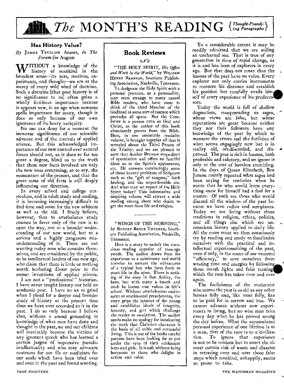# **The MONTH'S READING** *{Thought-Provok<sup>1}</sup>}*

#### Has History Value?

*By* JAMES TRUSLOW ADAMS, *in The Forum* for August

WITHOUT a knowledge of the history of mankind in the history of manking in the broadest sense—its acts, motives, experiments, and thought—we are at the mercy of every wild wind of doctrine. Such a doctrine [that past history is of no significance to us] often gains a wholly fictitious importance because it appears new, in an age when newness spells importance for many, though it does so only because of our own ignorance of its hoary antiquity.

No one can deny for a moment the immense significance of our scientific advance and of the marvels of applied science. But this acknowledged importance of our new control over natural forces should not, as it does to far too great a degree, blind us to the truth that these new facts involved are only the new ones composing, so to say, the momentum of the present, and that the great mass of old facts is still deeply influencing our direction.

In every school and college curriculum, and in adult study and reading, it is becoming increasingly difficult to find time and room for the new subjects as well as the old. I firmly believe, however, that to overbalance study courses in favor only of the new is to open the way, not to a broader understanding of our new world, but to a serious and a highly dangerous misunderstanding of it. There are not wanting today men who consider themselves, and are considered by the public, to be intellectual leaders of our new age, who claim that there is little or nothing worth bothering &bout prior to the recent inventions of applied science.

I *am* not a "professional" historian. I have never taught history nor held an academic post.  $\bar{I}$  have no ax to grind when I plead for a deeper and broader study of history at the present time than we have ever accorded to it in the past. I do so only because I believe that, without a sound grounding in knowledge of what men have done and thought in the past, we and our children will inevitably become the victims of any *ignorant* quack who has learned a certain jargon of impressive pseudointellectuality and who may advocate nostrums for our ills or medicines for our souls which have been tried over and over in the past and found wanting.

#### en

"THE HOLY SPIRIT, *His Office and Work in the World,"* by WILLIAM HENRY BRANSON, Southern Publishing Association, Nashville, Tennessee.

To designate the Holy Spirit with a personal pronoun, as a personality, may seem strange to many casual Bible readers, who have come to think of the third Member of the Godhead as some sort of essence which prevades all space. But the Comforter is a person even as God and Christ, as the author of this book abundantly proves from the Bible. Here, in one eminently readable volume, is brought together all that is revealed about the Third Person of the Trinity; and we are pleased to note that Author Branson stops short of speculation and offers no fanciful *ideas as to the Spirit's* appearance, etc. He answers convincingly some of those knotty problems of Scripture such as the "gift of tongues," faith healing, and the unpardonable sin. And what may we expect of the Holy Spirit today? This informative and inspiring volume will attract a wide reading among those who desire to get the most from life and religion.

"WINGS OF THE MORNING," by ROBERT BRUCE THURBER, Southern Publishing Association, Nashville, Tennessee.

Here is a story to satisfy the voracious reading appetite of teen-age youth. The author draws from his experience as a missionary and world traveler to narrate the adventures of a typical boy who fares forth to meet life in the open. There is nothing of the sissy in Ben Ashley, the hero, but with many a knock and snub he learns true values in life's school. Without unwholesome excitement or sentimental preachments, the story grips the interest of the young and establishes ideals of integrity, honesty, and grit which challenge the reader to emulation. The author needs make no apology for inculcating the truth that Christian character is the basis of all noble and successful living. This is one of the books careful parents have been looking for to put under the eyes of their adolescent boys and girls. It is safe without being boresome to those Who delight in action and color.

To a considerable extent it may be readily admitted that we are sailing *an* uncharted sea. That is true of any generation in time of rapid change, as it is and has been of explorers in every age. But that does not mean that the lessons of the past have no value. Every explorer not only carries instruments to measure his distance and establish his position but carefully avails him. self of every experience of his predeces sors.

Today the world is full of shallow dogmatists, masquerading as sages, whose views are false, but whose reputations are great because neither they nor their followers have any knowledge of the past by which to measure the errors and the futilities of what seems engagingly new but is in reality old, oft-discarded, and disproved. The past is rich in lessons, both profitable and salutary, and we ignore it only at the cost of bootless stumbling. In the days of Queen Elizabeth, Ben Jonson merely repeated what sages had been saying for centuries when he wrote that he who would learn everything anew for himself had a fool for a master. Of such are those who would discard all the wisdom of the past because we have radios and aeroplanes. Today we are living without those traditions in religion, ethics, politics, and all things else which are unconscious history applied to daily life. All the more must we then consciously try by reading and study to familiarize ourselves with the practical and intellectual experimentizing of the past, even if only, in the name of our vaunted "efficiency," to save ourselves from wasting, time and energies by followin those marsh lights and false turning. which the race has taken over and over again.

The foolishness of the modernist who scorns the past is as old as any other human folly and, like most folly, has to be paid for in sorrow and loss. We cannot advance without new experiments in living, but no wise man tries every day what he has proved wrong the day before. What the accumulated personal experience of one lifetime is to a man, that of the race is to a 'civilization. To ignore that experience is not to be modern but to court the almost certain risk of waste and disaster in retracing over and over those false steps which mankind, unhappily, seems so prone to take.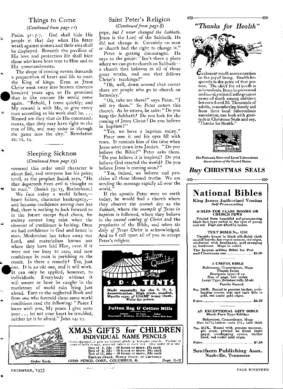#### Things to Come

*(Continued from page 1r)* 

Psalm  $q_1$ :  $q_2$ -7. God shall hide His people in that day when His fierce wrath against sinners and their sins shall be displayed. Beneath the pavilion of His love and protection He shall hide those who have been true to Him and to His commandments.

The shape of coming events demands a preparation of heart and life to meet the King of kings. Even as Jesus Christ went away into heaven nineteen +<br>
t C<br>
t d<br>
t a N<br>
a N hundred years ago, so He promised that in like manner He would come again. "Behold, I come quickly; and My reward is with Me, to give every man according as his work shall be.... Blessed are they that do His commandments, that they may have right to the tree of life, and may enter in through the gates into the city." Revelation 22: 12, 14.

#### Sleeping Sickness *(Continued from page 1.5)*

reversed this order until character is about fled, and everyone has his price; until, as the prophet Isaiah says, "He be mad." (Isaiah 59: 15, Rotherham.) that departeth from evil is thought to

We face today a world failure, heart failure, character bankruptcy, and because confidence among men has fled, there is nothing to look forward to in the future except final chaos, for society cannot long exist when the element of confidence is lacking. Once we had confidence in God and hence in man. Modernism has taken away our Lord, and materialism knows not where they have laid Him, even if it were not too busy to care, and now confidence in man is perishing as the result. Is there a remedy? Yes, just one. It is an old one, and it will work. **wIt** can only be applied, however, to individuals. Everybody without it will sooner or later be caught in the maelstrom of world ruin lying just ahead. Turn to the neglected Book and from one who foretold these same world conditions read the following: "Peace I leave with you, My peace  $\tilde{I}$  give unto you: ... let not your heart be troubled, neither let it be afraid." John 14: 27.

### Saint Peter's Religion

*(Continued from page 8)* 

pope, *but I never changed the Sabbath.*  Jesus is the Lord of the Sabbath. He did not change it. Certainly no man or church had the right to change it."

Peter is getting discouraged. He says to the guide: "Isn't there a place where we can go to church on Sabbath a church that believes in all of those great truths, and one that follows Christ's teachings?"

"Oh, well, down around that corner there are people who go to church on Saturday."

"Oh, take me there!" says Peter. "I will try them." So Peter enters this church. As he enters, he asks: "Do you keep the Sabbath? Do you look for the coming of Jesus Christ? Do you believe in baptism?"

"Yes, we have a baptism today." Peter sees it and his eyes fill with tears. It reminds him of the time when Jesus went down into Jordan. "Do you believe the Bible?" Peter asks them. "Do you believe it is inspired? Do you believe God created the world? Do you believe Jesus is coming soon?"

"Yes, indeed, we believe and proclaim all these blessed truths. We are sending the message rapidly all over the world."

If the apostle Peter were on earth today, he would find a church where they observe the *seventh day* as the *Sabbath,* where the *example of Jesus in baptism* is followed, where they believe in the *second coming of Christ* and the *prophecies* of the Bible, and *where the deity of Jesus Christ* is acknowledged. And so I call upon all of you to accept Peter's religion.







Southern Publishing Assn. Nashville, Tennessee



*"Thanks for Health"* 

w

≫

 ${\mathbf c}$ xuberant youth scorns caution in the joy of living. Health frequently is the price of that gesture. The chief foe of youth is tuberculosis. It canbeprevented andcured, yet it still is the greatest cause of death among children between 5 and 20. Thousands of adults, remembering timely aid from their local tuberculosis association, can look with gratitude at Christmas Seals and say, "Thanks for Health."



*The Nation* 1, State end Local Tuberculosis Associations of the United States

### *Buy* CHRISTMAS SEALS

DECEMBER, '1933 PAGE NINETEEN

a